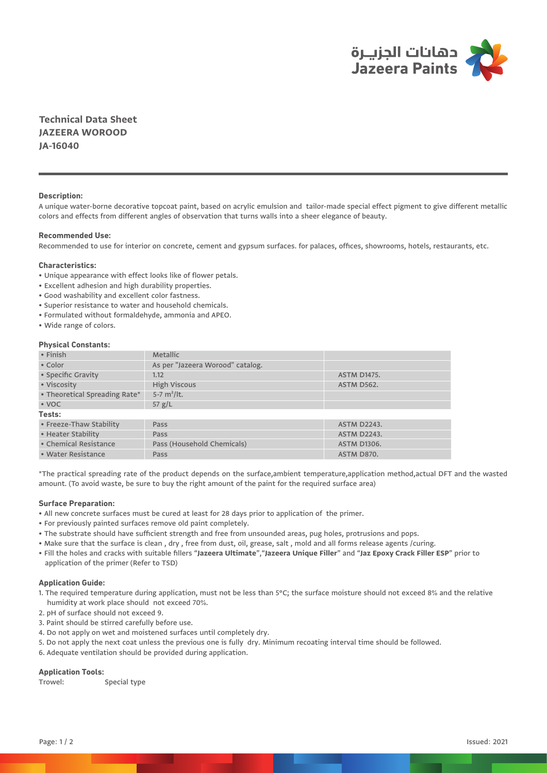

**Technical Data Sheet JAZEERA WOROOD JA-16040**

# **Description:**

A unique water-borne decorative topcoat paint, based on acrylic emulsion and tailor-made special effect pigment to give different metallic colors and effects from different angles of observation that turns walls into a sheer elegance of beauty.

## **Recommended Use:**

Recommended to use for interior on concrete, cement and gypsum surfaces. for palaces, offices, showrooms, hotels, restaurants, etc.

## **Characteristics:**

- Unique appearance with effect looks like of flower petals.
- Excellent adhesion and high durability properties.
- Good washability and excellent color fastness.
- Superior resistance to water and household chemicals.
- Formulated without formaldehyde, ammonia and APEO.
- Wide range of colors.

# **Physical Constants:**

| • Finish                      | <b>Metallic</b>                  |                    |
|-------------------------------|----------------------------------|--------------------|
| • Color                       | As per "Jazeera Worood" catalog. |                    |
| • Specific Gravity            | 1.12                             | <b>ASTM D1475.</b> |
| • Viscosity                   | <b>High Viscous</b>              | ASTM D562.         |
| • Theoretical Spreading Rate* | 5-7 $m^2/It$ .                   |                    |
| $\cdot$ VOC                   | 57 $g/L$                         |                    |
| Tests:                        |                                  |                    |
| • Freeze-Thaw Stability       | Pass                             | <b>ASTM D2243.</b> |
| • Heater Stability            | Pass                             | <b>ASTM D2243.</b> |
| • Chemical Resistance         | Pass (Household Chemicals)       | <b>ASTM D1306.</b> |
| • Water Resistance            | Pass                             | ASTM D870.         |
|                               |                                  |                    |

\*The practical spreading rate of the product depends on the surface,ambient temperature,application method,actual DFT and the wasted amount. (To avoid waste, be sure to buy the right amount of the paint for the required surface area)

### **Surface Preparation:**

- All new concrete surfaces must be cured at least for 28 days prior to application of the primer.
- For previously painted surfaces remove old paint completely.
- The substrate should have sufficient strength and free from unsounded areas, pug holes, protrusions and pops.
- Make sure that the surface is clean , dry , free from dust, oil, grease, salt , mold and all forms release agents /curing.
- Fill the holes and cracks with suitable fillers "**Jazeera Ultimate**","**Jazeera Unique Filler**" and "**Jaz Epoxy Crack Filler ESP**" prior to application of the primer (Refer to TSD)

## **Application Guide:**

- 1. The required temperature during application, must not be less than 5°C; the surface moisture should not exceed 8% and the relative humidity at work place should not exceed 70%.
- 2. pH of surface should not exceed 9.
- 3. Paint should be stirred carefully before use.
- 4. Do not apply on wet and moistened surfaces until completely dry.
- 5. Do not apply the next coat unless the previous one is fully dry. Minimum recoating interval time should be followed.
- 6. Adequate ventilation should be provided during application.

# **Application Tools:**

Trowel: Special type